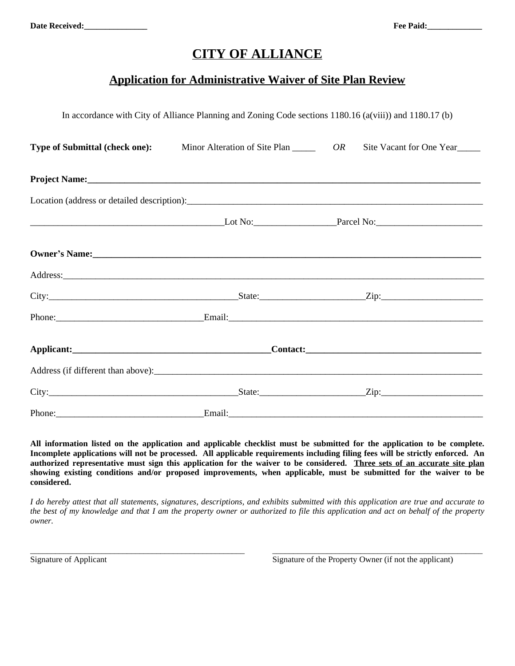## **CITY OF ALLIANCE**

## **Application for Administrative Waiver of Site Plan Review**

In accordance with City of Alliance Planning and Zoning Code sections 1180.16 (a(viii)) and 1180.17 (b)

| Type of Submittal (check one): |  | Minor Alteration of Site Plan ________ OR Site Vacant for One Year                                                                                                                                                             |  |  |  |  |  |
|--------------------------------|--|--------------------------------------------------------------------------------------------------------------------------------------------------------------------------------------------------------------------------------|--|--|--|--|--|
|                                |  |                                                                                                                                                                                                                                |  |  |  |  |  |
|                                |  |                                                                                                                                                                                                                                |  |  |  |  |  |
|                                |  |                                                                                                                                                                                                                                |  |  |  |  |  |
|                                |  | Owner's Name:                                                                                                                                                                                                                  |  |  |  |  |  |
|                                |  | Address: Andreas Address: Address: Address: Address: Address: Address: Address: Address: Address: Address: Address: Address: Address: Address: Address: Address: Address: Address: Address: Address: Address: Address: Address |  |  |  |  |  |
|                                |  |                                                                                                                                                                                                                                |  |  |  |  |  |
|                                |  |                                                                                                                                                                                                                                |  |  |  |  |  |
|                                |  |                                                                                                                                                                                                                                |  |  |  |  |  |
|                                |  |                                                                                                                                                                                                                                |  |  |  |  |  |
|                                |  |                                                                                                                                                                                                                                |  |  |  |  |  |
|                                |  |                                                                                                                                                                                                                                |  |  |  |  |  |

All information listed on the application and applicable checklist must be submitted for the application to be complete. Incomplete applications will not be processed. All applicable requirements including filing fees will be strictly enforced. An **authorized representative must sign this application for the waiver to be considered. Three sets of an accurate site plan** showing existing conditions and/or proposed improvements, when applicable, must be submitted for the waiver to be **considered.**

I do hereby attest that all statements, signatures, descriptions, and exhibits submitted with this application are true and accurate to the best of my knowledge and that I am the property owner or authorized to file this application and act on behalf of the property *owner.*

\_\_\_\_\_\_\_\_\_\_\_\_\_\_\_\_\_\_\_\_\_\_\_\_\_\_\_\_\_\_\_\_\_\_\_\_\_\_\_\_\_\_\_\_\_\_\_\_\_\_\_ \_\_\_\_\_\_\_\_\_\_\_\_\_\_\_\_\_\_\_\_\_\_\_\_\_\_\_\_\_\_\_\_\_\_\_\_\_\_\_\_\_\_\_\_\_\_\_\_\_\_

Signature of Applicant Signature of the Property Owner (if not the applicant)